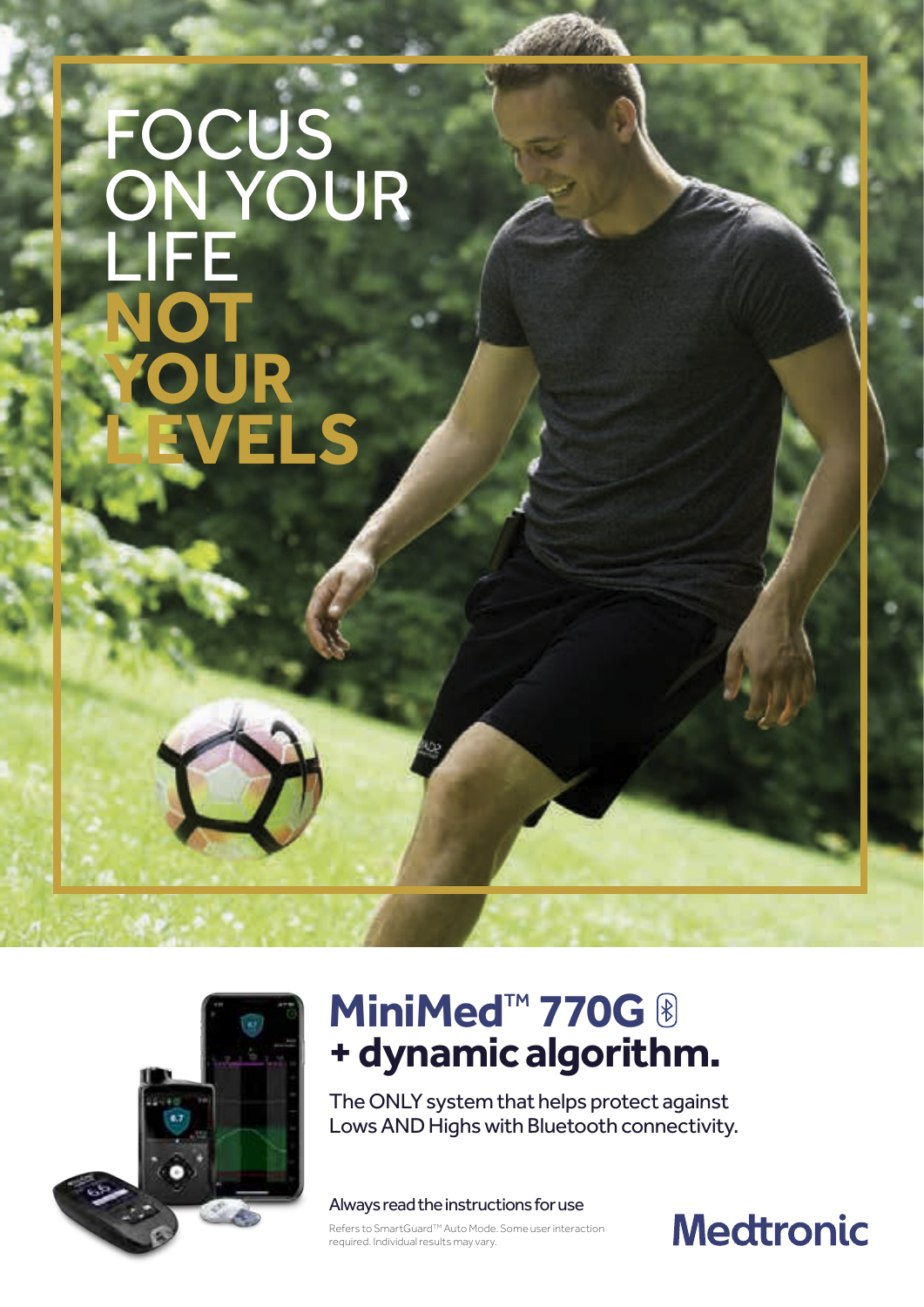# FOCUS ON YOUR LIFE NOT **YOUR LEVELS**



# **MiniMed<sup>™</sup> 770G <sup>®</sup><br>+ dynamic algorithm.**

The ONLY system that helps protect against Lows AND Highs with Bluetooth connectivity.

Always read the instructions for use

Refers to SmartGuard™ Auto Mode. Some user interaction required. Individual results may vary.

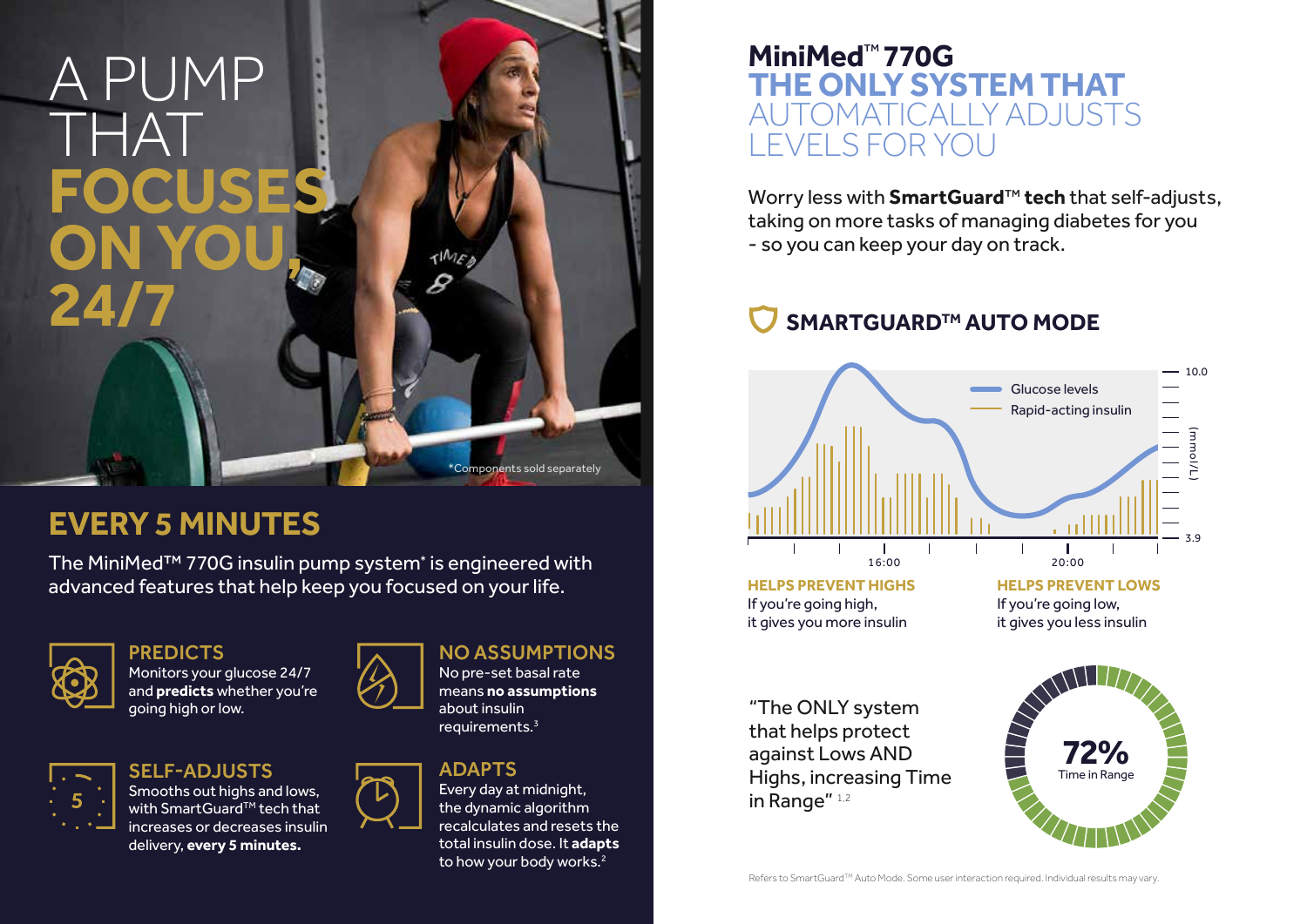# A PUMP THAT **FOCUSES ON YOU, 24/7**

Monitors your glucose 24/7 and **predicts** whether you're going high or low.



SELF-ADJUSTS

Every day at midnight, the dynamic algorithm recalculates and resets the total insulin dose. It **adapts** to how your body works.<sup>2</sup>

Smooths out highs and lows, with SmartGuard™ tech that increases or decreases insulin delivery, **every 5 minutes.** 





No pre-set basal rate means **no assumptions**  about insulin requirements.3

### ADAPTS

Worry less with **SmartGuard**™ **tech** that self-adjusts, taking on more tasks of managing diabetes for you - so you can keep your day on track.

### SMARTGUARD<sup>™</sup> AUTO MODE

### **MiniMed**™ **770G THE ONLY SYSTEM THAT**  AUTOMATICALLY ADJUSTS LEVELS FOR YOU

## **EVERY 5 MINUTES**

The MiniMed™ 770G insulin pump system\* is engineered with advanced features that help keep you focused on your life.



### **PREDICTS**



If you're going high, it gives you more insulin

\*Components sold separately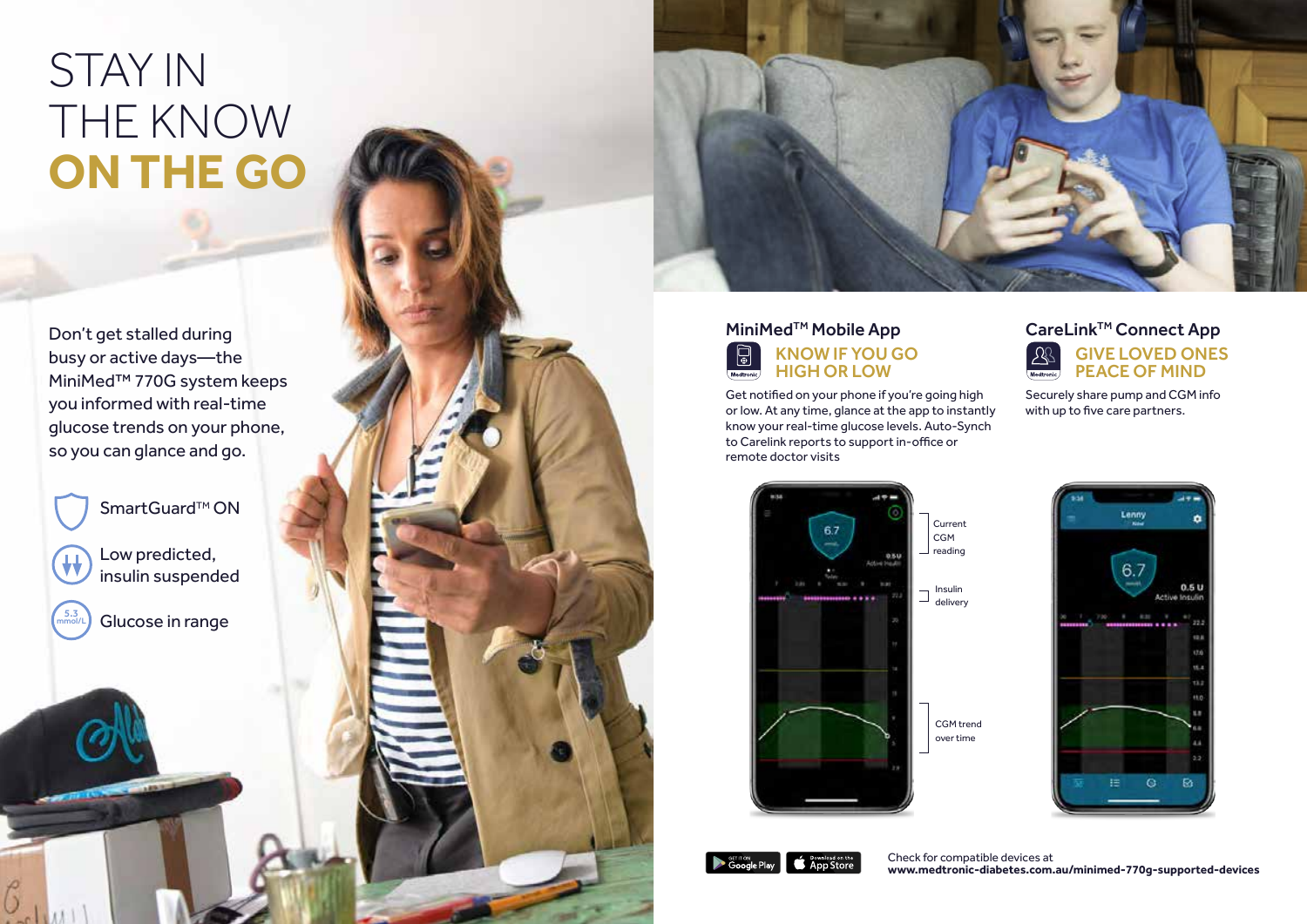Get notified on your phone if you're going high or low. At any time, glance at the app to instantly know your real-time glucose levels. Auto-Synch to Carelink reports to support in-office or remote doctor visits

#### CareLink<sup>™</sup> Connect App  $\mathbb{R}$ GIVE LOVED ONES PEACE OF MIND

Securely share pump and CGM info with up to five care partners.





# STAY IN THE KNOW **ON THE GO**

Don't get stalled during busy or active days—the MiniMed™ 770G system keeps you informed with real-time glucose trends on your phone, so you can glance and go.

SmartGuard™ ON

5.3 mmol/L

 $\mathcal{S}$ 

Low predicted, insulin suspended

Glucose in range

#### MiniMed<sup>™</sup> Mobile App  $\bigcirc$ KNOW IF YOU GO HIGH OR LOW Medtronic



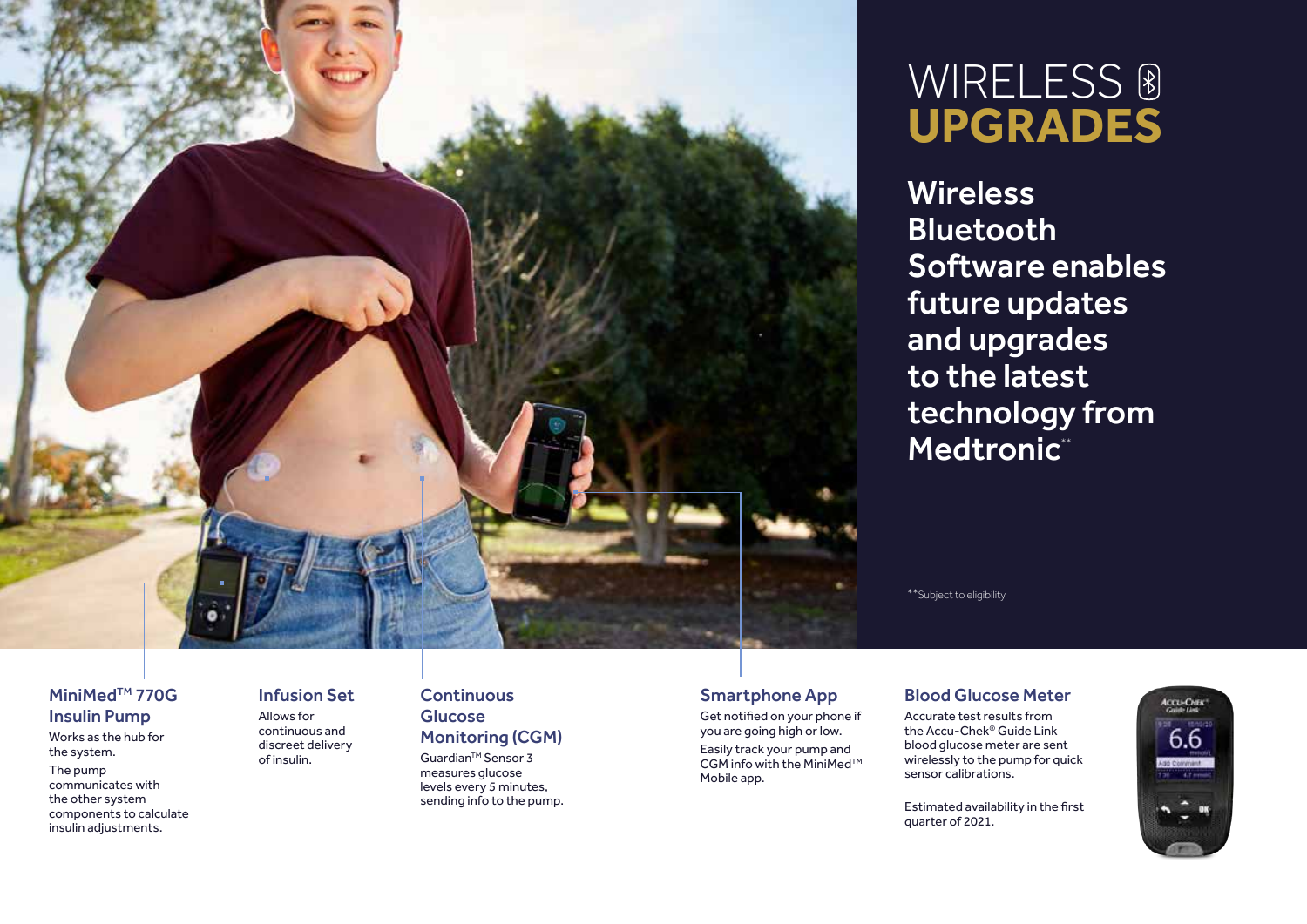

**Wireless** 

#### **Continuous Glucose** Monitoring (CGM)

Guardian<sup>™</sup> Sensor 3 measures glucose levels every 5 minutes, sending info to the pump.

#### MiniMed<sup>™</sup> 770G Insulin Pump

#### Infusion Set

Allows for continuous and discreet delivery of insulin.

Works as the hub for the system.

Software enables future updates and upgrades to the latest technology from Medtronic\*\*

The pump communicates with the other system components to calculate insulin adjustments.

# WIRELESS ® **UPGRADES**

### Smartphone App

Get notified on your phone if you are going high or low.

Easily track your pump and CGM info with the MiniMed<sup>™</sup> Mobile app.

Bluetooth

\*\*Subject to eligibility

#### Blood Glucose Meter

Accurate test results from

the Accu-Chek® Guide Link blood glucose meter are sent wirelessly to the pump for quick sensor calibrations.



Estimated availability in the first quarter of 2021.